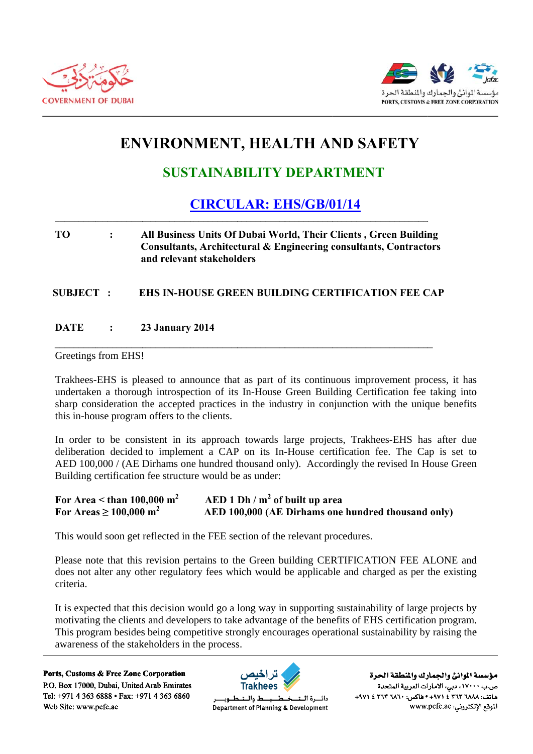



# **ENVIRONMENT, HEALTH AND SAFETY**

## **SUSTAINABILITY DEPARTMENT**

### **CIRCULAR: EHS/GB/01/14**

### **TO**  $\ddot{\cdot}$ All Business Units Of Dubai World, Their Clients, Green Building Consultants, Architectural & Engineering consultants, Contractors and relevant stakeholders

#### EHS IN-HOUSE GREEN BUILDING CERTIFICATION FEE CAP **SUBJECT:**

#### **DATE 23 January 2014**  $\ddot{\cdot}$

### Greetings from EHS!

Trakhees-EHS is pleased to announce that as part of its continuous improvement process, it has undertaken a thorough introspection of its In-House Green Building Certification fee taking into sharp consideration the accepted practices in the industry in conjunction with the unique benefits this in-house program offers to the clients.

In order to be consistent in its approach towards large projects. Trakhees-EHS has after due deliberation decided to implement a CAP on its In-House certification fee. The Cap is set to AED 100,000 / (AE Dirhams one hundred thousand only). Accordingly the revised In House Green Building certification fee structure would be as under:

#### $AED 1 Dh/m<sup>2</sup>$  of built up area For Area  $\leq$  than 100,000 m<sup>2</sup> For Areas  $\geq 100,000 \text{ m}^2$ AED 100,000 (AE Dirhams one hundred thousand only)

This would soon get reflected in the FEE section of the relevant procedures.

Please note that this revision pertains to the Green building CERTIFICATION FEE ALONE and does not alter any other regulatory fees which would be applicable and charged as per the existing criteria.

It is expected that this decision would go a long way in supporting sustainability of large projects by motivating the clients and developers to take advantage of the benefits of EHS certification program. This program besides being competitive strongly encourages operational sustainability by raising the awareness of the stakeholders in the process.

Ports, Customs & Free Zone Corporation P.O. Box 17000, Dubai, United Arab Emirates Tel: +971 4 363 6888 • Fax: +971 4 363 6860 Web Site: www.pcfc.ae



ط والــتــ دائسرة البت Department of Planning & Development

مؤسسة الموانئ والجمارك والنطقة الحرة ص.ب ١٧٠٠٠، دبي، الأمارات العربية المتحدة هاتف: ٢٦٨٨ ٣٦٣ ٤ ٤٧١ + ١٩٧٠ - خاكس: ٢٦٨٠ + ٣٦٣ ٤ ٤٧١ الموقع الإلكتروني: www.pcfc.ae